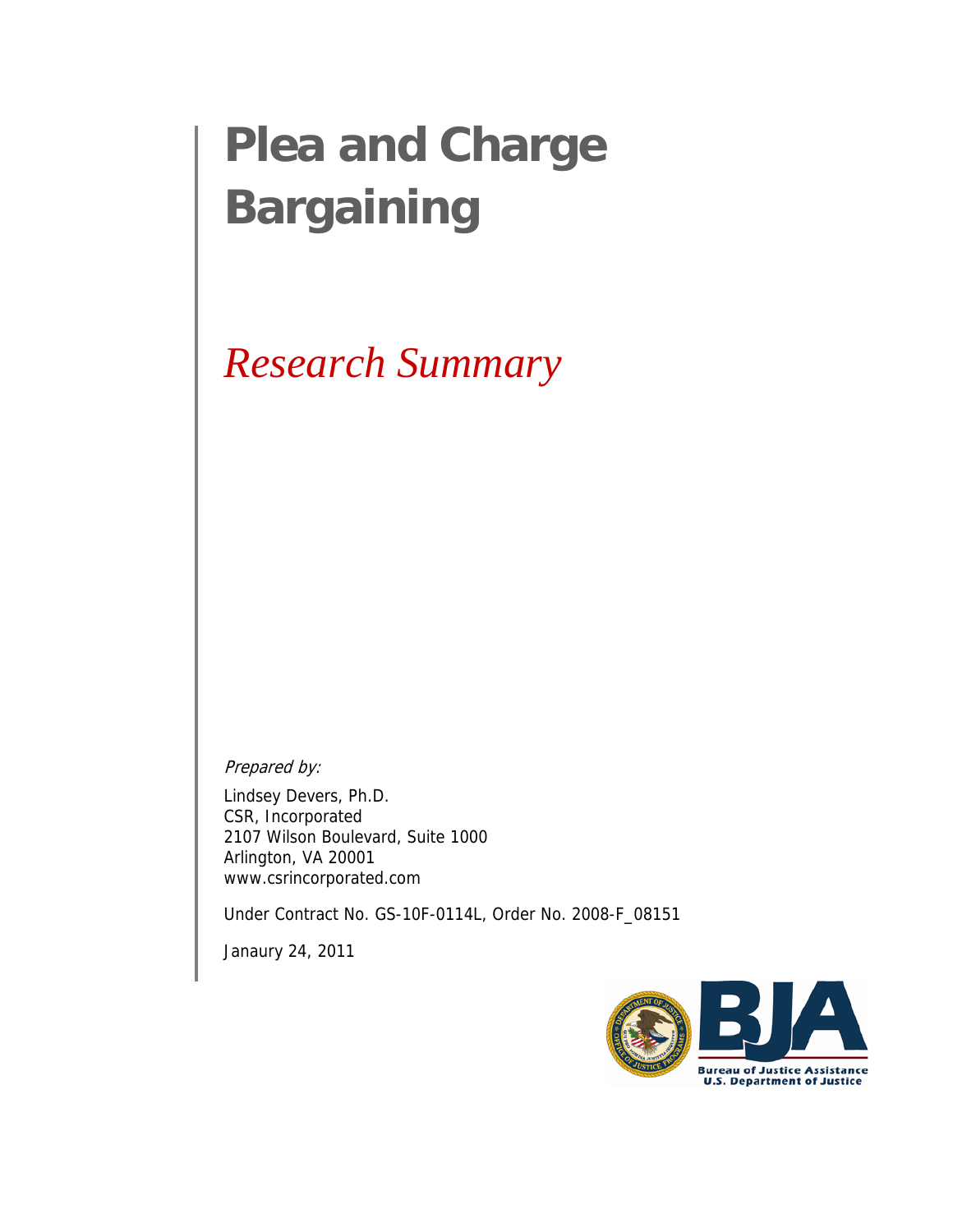# **Plea and Charge Bargaining**

## *Research Summary*

Prepared by:

Lindsey Devers, Ph.D. CSR, Incorporated 2107 Wilson Boulevard, Suite 1000 Arlington, VA 20001 www.csrincorporated.com

Under Contract No. GS-10F-0114L, Order No. 2008-F\_08151

Janaury 24, 2011

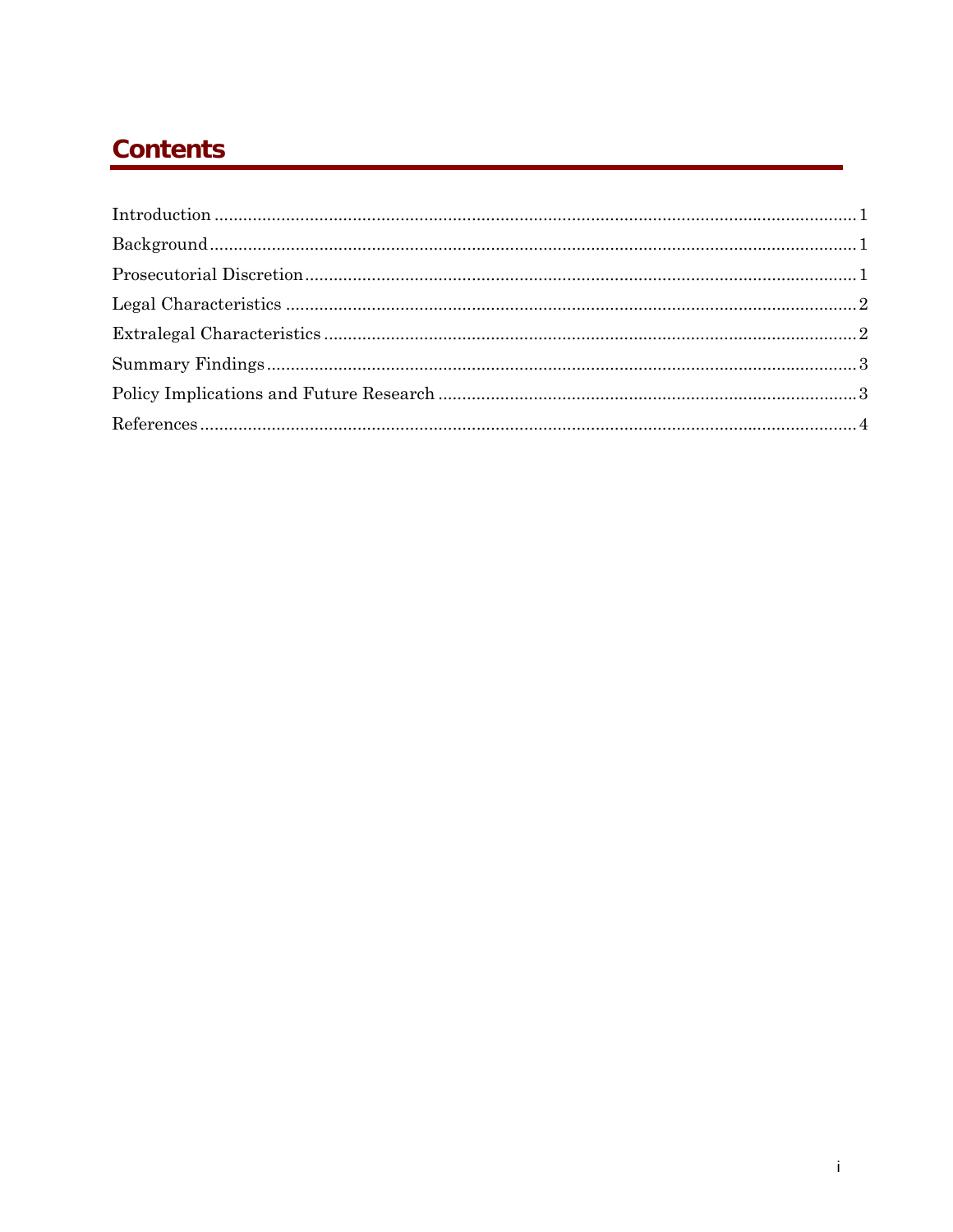### **Contents**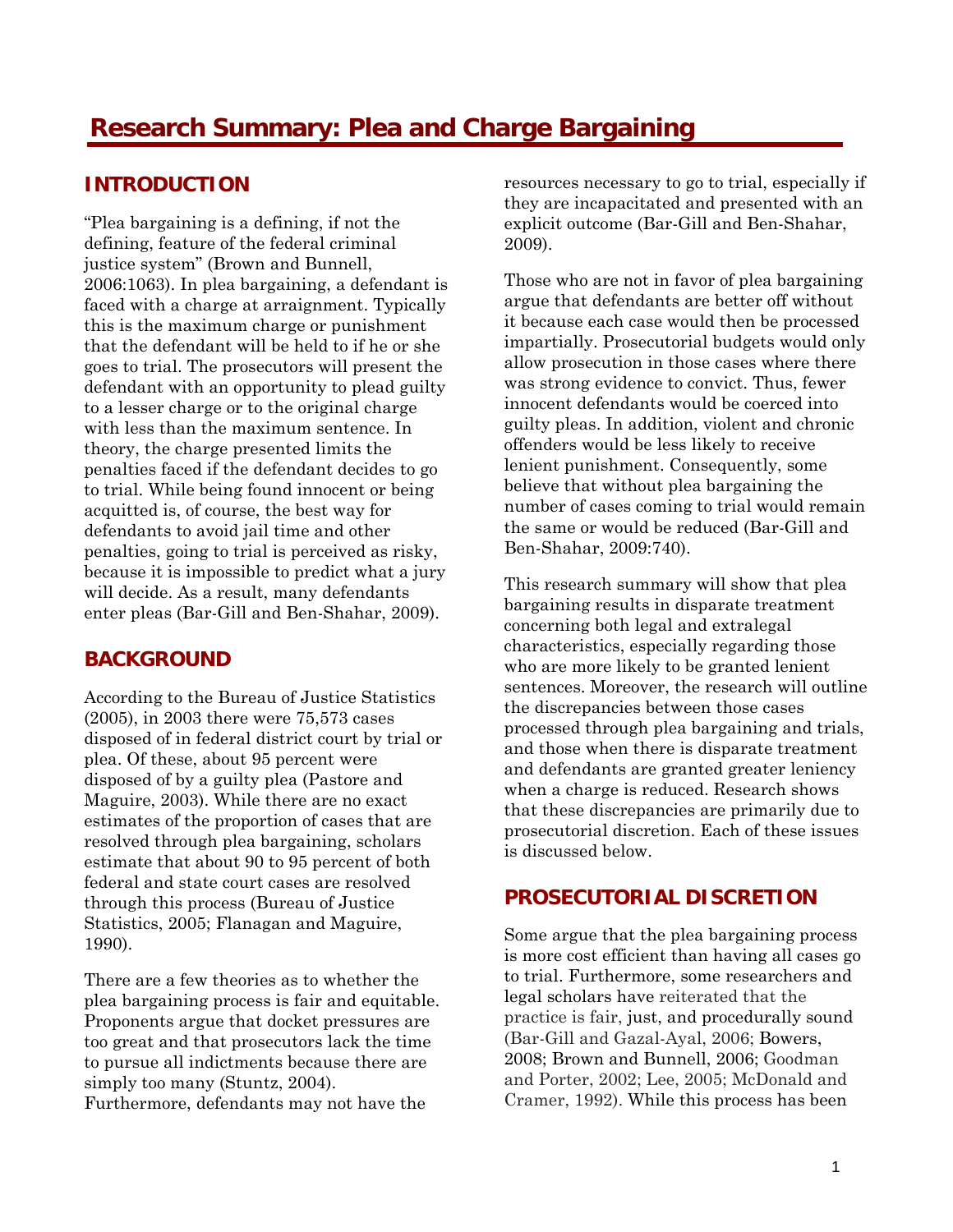#### <span id="page-2-0"></span>**INTRODUCTION**

"Plea bargaining is a defining, if not the defining, feature of the federal criminal justice system" (Brown and Bunnell, 2006:1063). In plea bargaining, a defendant is faced with a charge at arraignment. Typically this is the maximum charge or punishment that the defendant will be held to if he or she goes to trial. The prosecutors will present the defendant with an opportunity to plead guilty to a lesser charge or to the original charge with less than the maximum sentence. In theory, the charge presented limits the penalties faced if the defendant decides to go to trial. While being found innocent or being acquitted is, of course, the best way for defendants to avoid jail time and other penalties, going to trial is perceived as risky, because it is impossible to predict what a jury will decide. As a result, many defendants enter pleas (Bar-Gill and Ben-Shahar, 2009).

#### **BACKGROUND**

According to the Bureau of Justice Statistics (2005), in 2003 there were 75,573 cases disposed of in federal district court by trial or plea. Of these, about 95 percent were disposed of by a guilty plea (Pastore and Maguire, 2003). While there are no exact estimates of the proportion of cases that are resolved through plea bargaining, scholars estimate that about 90 to 95 percent of both federal and state court cases are resolved through this process (Bureau of Justice Statistics, 2005; Flanagan and Maguire, 1990).

There are a few theories as to whether the plea bargaining process is fair and equitable. Proponents argue that docket pressures are too great and that prosecutors lack the time to pursue all indictments because there are simply too many (Stuntz, 2004).

Furthermore, defendants may not have the

resources necessary to go to trial, especially if they are incapacitated and presented with an explicit outcome (Bar-Gill and Ben-Shahar, 2009).

Those who are not in favor of plea bargaining argue that defendants are better off without it because each case would then be processed impartially. Prosecutorial budgets would only allow prosecution in those cases where there was strong evidence to convict. Thus, fewer innocent defendants would be coerced into guilty pleas. In addition, violent and chronic offenders would be less likely to receive lenient punishment. Consequently, some believe that without plea bargaining the number of cases coming to trial would remain the same or would be reduced (Bar-Gill and Ben-Shahar, 2009:740).

This research summary will show that plea bargaining results in disparate treatment concerning both legal and extralegal characteristics, especially regarding those who are more likely to be granted lenient sentences. Moreover, the research will outline the discrepancies between those cases processed through plea bargaining and trials, and those when there is disparate treatment and defendants are granted greater leniency when a charge is reduced. Research shows that these discrepancies are primarily due to prosecutorial discretion. Each of these issues is discussed below.

#### **PROSECUTORIAL DISCRETION**

Some argue that the plea bargaining process is more cost efficient than having all cases go to trial. Furthermore, some researchers and legal scholars have reiterated that the practice is fair, just, and procedurally sound (Bar-Gill and Gazal-Ayal, 2006; Bowers, 2008; Brown and Bunnell, 2006; Goodman and Porter, 2002; Lee, 2005; McDonald and Cramer, 1992). While this process has been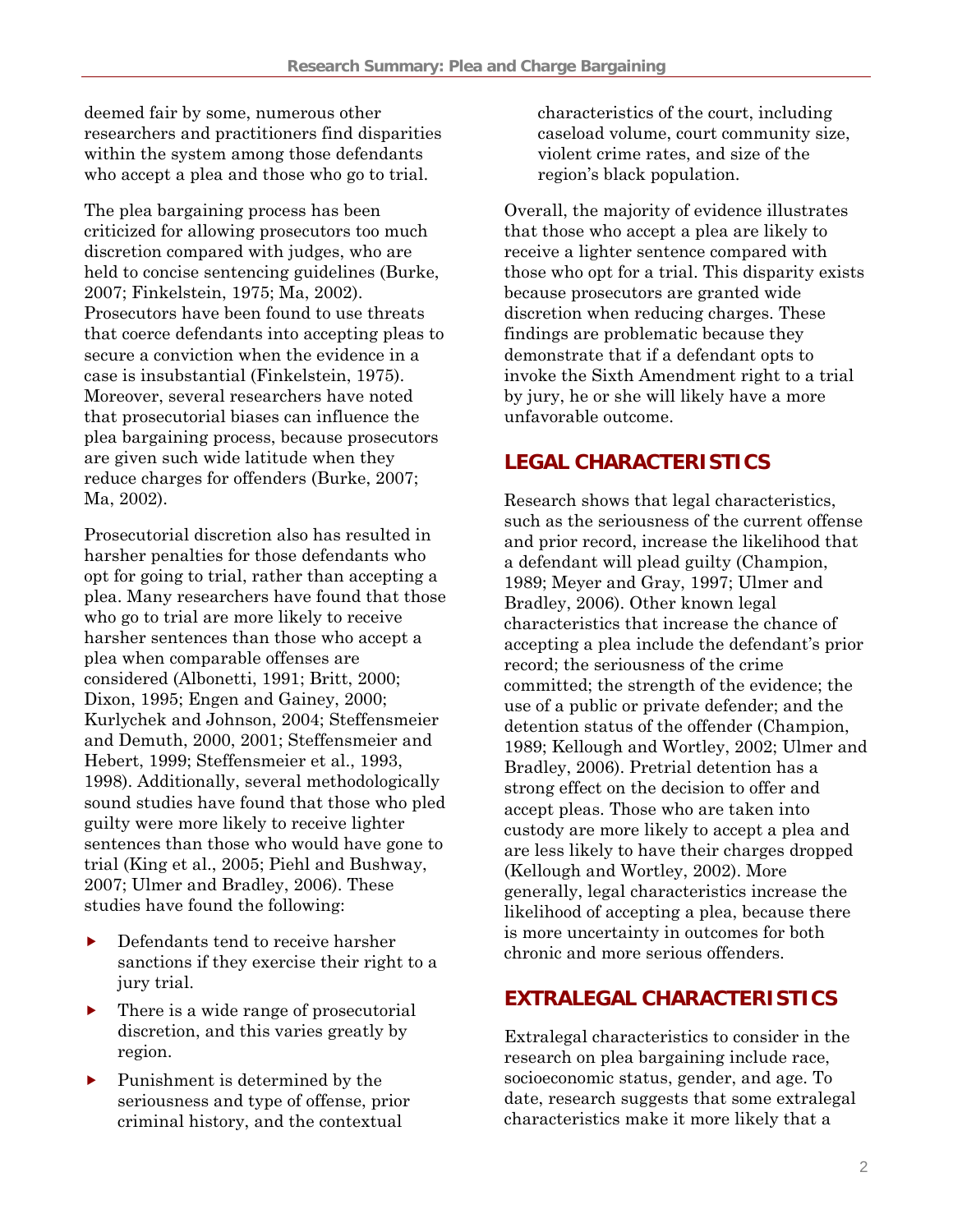<span id="page-3-0"></span>deemed fair by some, numerous other researchers and practitioners find disparities within the system among those defendants who accept a plea and those who go to trial.

The plea bargaining process has been criticized for allowing prosecutors too much discretion compared with judges, who are held to concise sentencing guidelines (Burke, 2007; Finkelstein, 1975; Ma, 2002). Prosecutors have been found to use threats that coerce defendants into accepting pleas to secure a conviction when the evidence in a case is insubstantial (Finkelstein, 1975). Moreover, several researchers have noted that prosecutorial biases can influence the plea bargaining process, because prosecutors are given such wide latitude when they reduce charges for offenders (Burke, 2007; Ma, 2002).

Prosecutorial discretion also has resulted in harsher penalties for those defendants who opt for going to trial, rather than accepting a plea. Many researchers have found that those who go to trial are more likely to receive harsher sentences than those who accept a plea when comparable offenses are considered (Albonetti, 1991; Britt, 2000; Dixon, 1995; Engen and Gainey, 2000; Kurlychek and Johnson, 2004; Steffensmeier and Demuth, 2000, 2001; Steffensmeier and Hebert, 1999; Steffensmeier et al., 1993, 1998). Additionally, several methodologically sound studies have found that those who pled guilty were more likely to receive lighter sentences than those who would have gone to trial (King et al., 2005; Piehl and Bushway, 2007; Ulmer and Bradley, 2006). These studies have found the following:

- Defendants tend to receive harsher sanctions if they exercise their right to a jury trial.
- $\blacktriangleright$  There is a wide range of prosecutorial discretion, and this varies greatly by region.
- $\blacktriangleright$  Punishment is determined by the seriousness and type of offense, prior criminal history, and the contextual

characteristics of the court, including caseload volume, court community size, violent crime rates, and size of the region's black population.

Overall, the majority of evidence illustrates that those who accept a plea are likely to receive a lighter sentence compared with those who opt for a trial. This disparity exists because prosecutors are granted wide discretion when reducing charges. These findings are problematic because they demonstrate that if a defendant opts to invoke the Sixth Amendment right to a trial by jury, he or she will likely have a more unfavorable outcome.

#### **LEGAL CHARACTERISTICS**

Research shows that legal characteristics, such as the seriousness of the current offense and prior record, increase the likelihood that a defendant will plead guilty (Champion, 1989; Meyer and Gray, 1997; Ulmer and Bradley, 2006). Other known legal characteristics that increase the chance of accepting a plea include the defendant's prior record; the seriousness of the crime committed; the strength of the evidence; the use of a public or private defender; and the detention status of the offender (Champion, 1989; Kellough and Wortley, 2002; Ulmer and Bradley, 2006). Pretrial detention has a strong effect on the decision to offer and accept pleas. Those who are taken into custody are more likely to accept a plea and are less likely to have their charges dropped (Kellough and Wortley, 2002). More generally, legal characteristics increase the likelihood of accepting a plea, because there is more uncertainty in outcomes for both chronic and more serious offenders.

#### **EXTRALEGAL CHARACTERISTICS**

Extralegal characteristics to consider in the research on plea bargaining include race, socioeconomic status, gender, and age. To date, research suggests that some extralegal characteristics make it more likely that a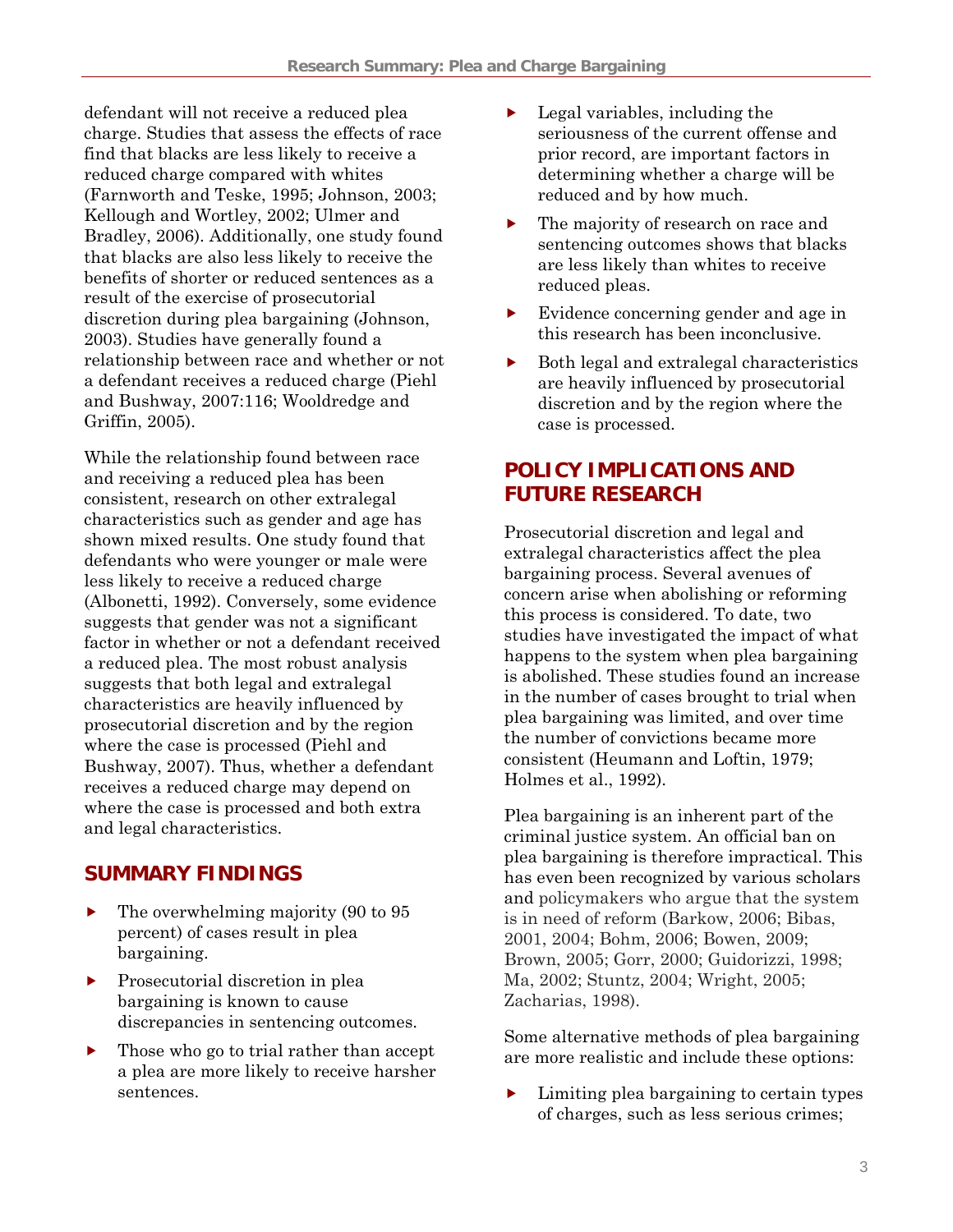<span id="page-4-0"></span>defendant will not receive a reduced plea charge. Studies that assess the effects of race find that blacks are less likely to receive a reduced charge compared with whites (Farnworth and Teske, 1995; Johnson, 2003; Kellough and Wortley, 2002; Ulmer and Bradley, 2006). Additionally, one study found that blacks are also less likely to receive the benefits of shorter or reduced sentences as a result of the exercise of prosecutorial discretion during plea bargaining (Johnson, 2003). Studies have generally found a relationship between race and whether or not a defendant receives a reduced charge (Piehl and Bushway, 2007:116; Wooldredge and Griffin, 2005).

While the relationship found between race and receiving a reduced plea has been consistent, research on other extralegal characteristics such as gender and age has shown mixed results. One study found that defendants who were younger or male were less likely to receive a reduced charge (Albonetti, 1992). Conversely, some evidence suggests that gender was not a significant factor in whether or not a defendant received a reduced plea. The most robust analysis suggests that both legal and extralegal characteristics are heavily influenced by prosecutorial discretion and by the region where the case is processed (Piehl and Bushway, 2007). Thus, whether a defendant receives a reduced charge may depend on where the case is processed and both extra and legal characteristics.

#### **SUMMARY FINDINGS**

- The overwhelming majority (90 to 95) percent) of cases result in plea bargaining.
- $\blacktriangleright$  Prosecutorial discretion in plea bargaining is known to cause discrepancies in sentencing outcomes.
- $\blacktriangleright$  Those who go to trial rather than accept a plea are more likely to receive harsher sentences.
- $\blacktriangleright$  Legal variables, including the seriousness of the current offense and prior record, are important factors in determining whether a charge will be reduced and by how much.
- $\blacktriangleright$  The majority of research on race and sentencing outcomes shows that blacks are less likely than whites to receive reduced pleas.
- Evidence concerning gender and age in this research has been inconclusive.
- f Both legal and extralegal characteristics are heavily influenced by prosecutorial discretion and by the region where the case is processed.

#### **POLICY IMPLICATIONS AND FUTURE RESEARCH**

Prosecutorial discretion and legal and extralegal characteristics affect the plea bargaining process. Several avenues of concern arise when abolishing or reforming this process is considered. To date, two studies have investigated the impact of what happens to the system when plea bargaining is abolished. These studies found an increase in the number of cases brought to trial when plea bargaining was limited, and over time the number of convictions became more consistent (Heumann and Loftin, 1979; Holmes et al., 1992).

Plea bargaining is an inherent part of the criminal justice system. An official ban on plea bargaining is therefore impractical. This has even been recognized by various scholars and policymakers who argue that the system is in need of reform (Barkow, 2006; Bibas, 2001, 2004; Bohm, 2006; Bowen, 2009; Brown, 2005; Gorr, 2000; Guidorizzi, 1998; Ma, 2002; Stuntz, 2004; Wright, 2005; Zacharias, 1998).

Some alternative methods of plea bargaining are more realistic and include these options:

 $\blacktriangleright$  Limiting plea bargaining to certain types of charges, such as less serious crimes;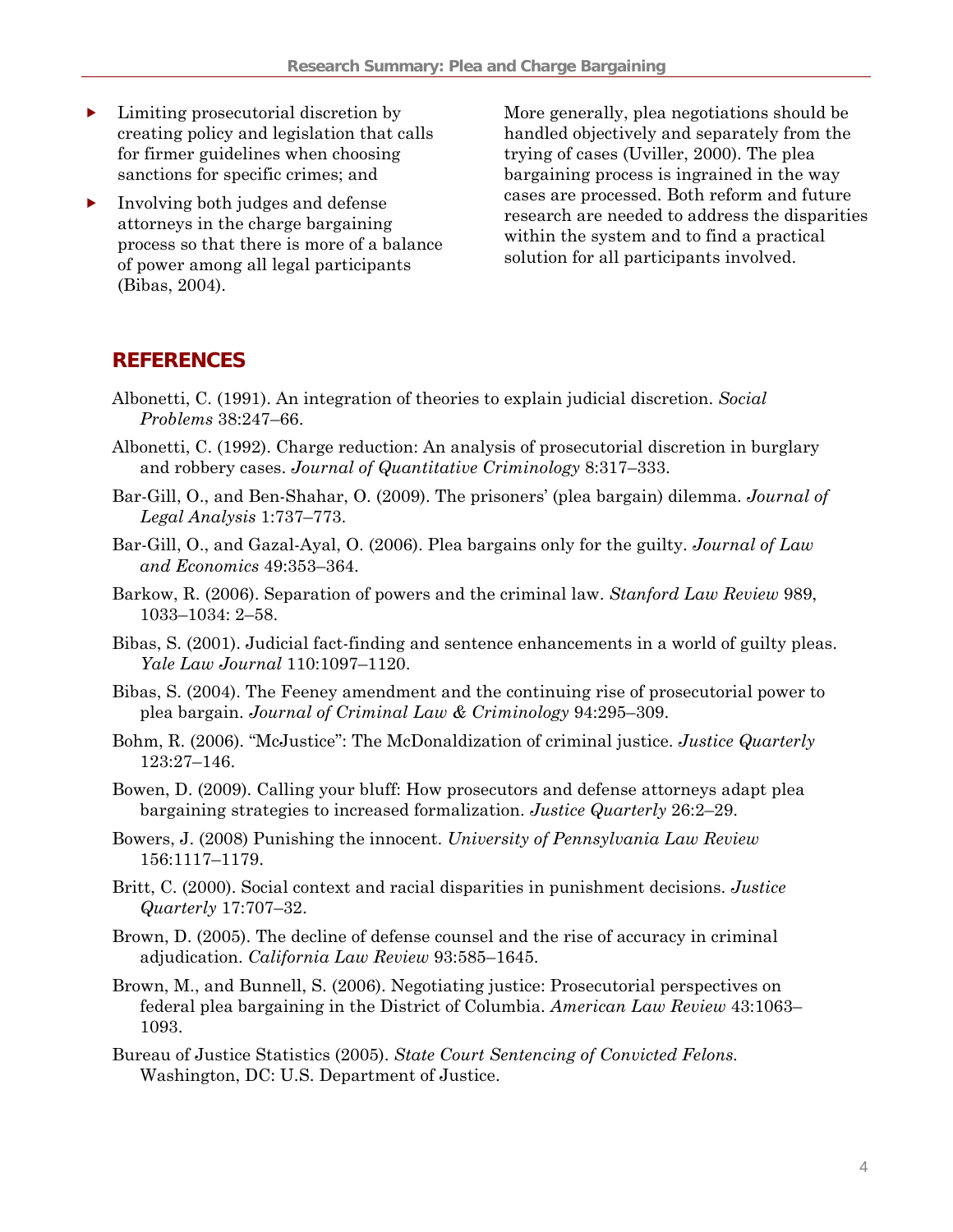- <span id="page-5-0"></span> $\blacktriangleright$  Limiting prosecutorial discretion by creating policy and legislation that calls for firmer guidelines when choosing sanctions for specific crimes; and
- $\blacktriangleright$  Involving both judges and defense attorneys in the charge bargaining process so that there is more of a balance of power among all legal participants (Bibas, 2004).

More generally, plea negotiations should be handled objectively and separately from the trying of cases (Uviller, 2000). The plea bargaining process is ingrained in the way cases are processed. Both reform and future research are needed to address the disparities within the system and to find a practical solution for all participants involved.

#### **REFERENCES**

- Albonetti, C. (1991). An integration of theories to explain judicial discretion. *Social Problems* 38:247–66.
- Albonetti, C. (1992). Charge reduction: An analysis of prosecutorial discretion in burglary and robbery cases. *Journal of Quantitative Criminology* 8:317–333.
- Bar-Gill, O., and Ben-Shahar, O. (2009). The prisoners' (plea bargain) dilemma. *Journal of Legal Analysis* 1:737–773.
- Bar-Gill, O., and Gazal-Ayal, O. (2006). Plea bargains only for the guilty. *Journal of Law and Economics* 49:353–364.
- Barkow, R. (2006). Separation of powers and the criminal law. *Stanford Law Review* 989, 1033–1034: 2–58.
- Bibas, S. (2001). Judicial fact-finding and sentence enhancements in a world of guilty pleas. *Yale Law Journal* 110:1097–1120.
- Bibas, S. (2004). The Feeney amendment and the continuing rise of prosecutorial power to plea bargain. *Journal of Criminal Law & Criminology* 94:295–309.
- Bohm, R. (2006). "McJustice": The McDonaldization of criminal justice. *Justice Quarterly*  123:27–146.
- Bowen, D. (2009). Calling your bluff: How prosecutors and defense attorneys adapt plea bargaining strategies to increased formalization. *Justice Quarterly* 26:2–29.
- Bowers, J. (2008) Punishing the innocent. *University of Pennsylvania Law Review*  156:1117–1179.
- Britt, C. (2000). Social context and racial disparities in punishment decisions. *Justice Quarterly* 17:707–32.
- Brown, D. (2005). The decline of defense counsel and the rise of accuracy in criminal adjudication. *California Law Review* 93:585–1645.
- Brown, M., and Bunnell, S. (2006). Negotiating justice: Prosecutorial perspectives on federal plea bargaining in the District of Columbia. *American Law Review* 43:1063– 1093.
- Bureau of Justice Statistics (2005). *State Court Sentencing of Convicted Felons.*  Washington, DC: U.S. Department of Justice.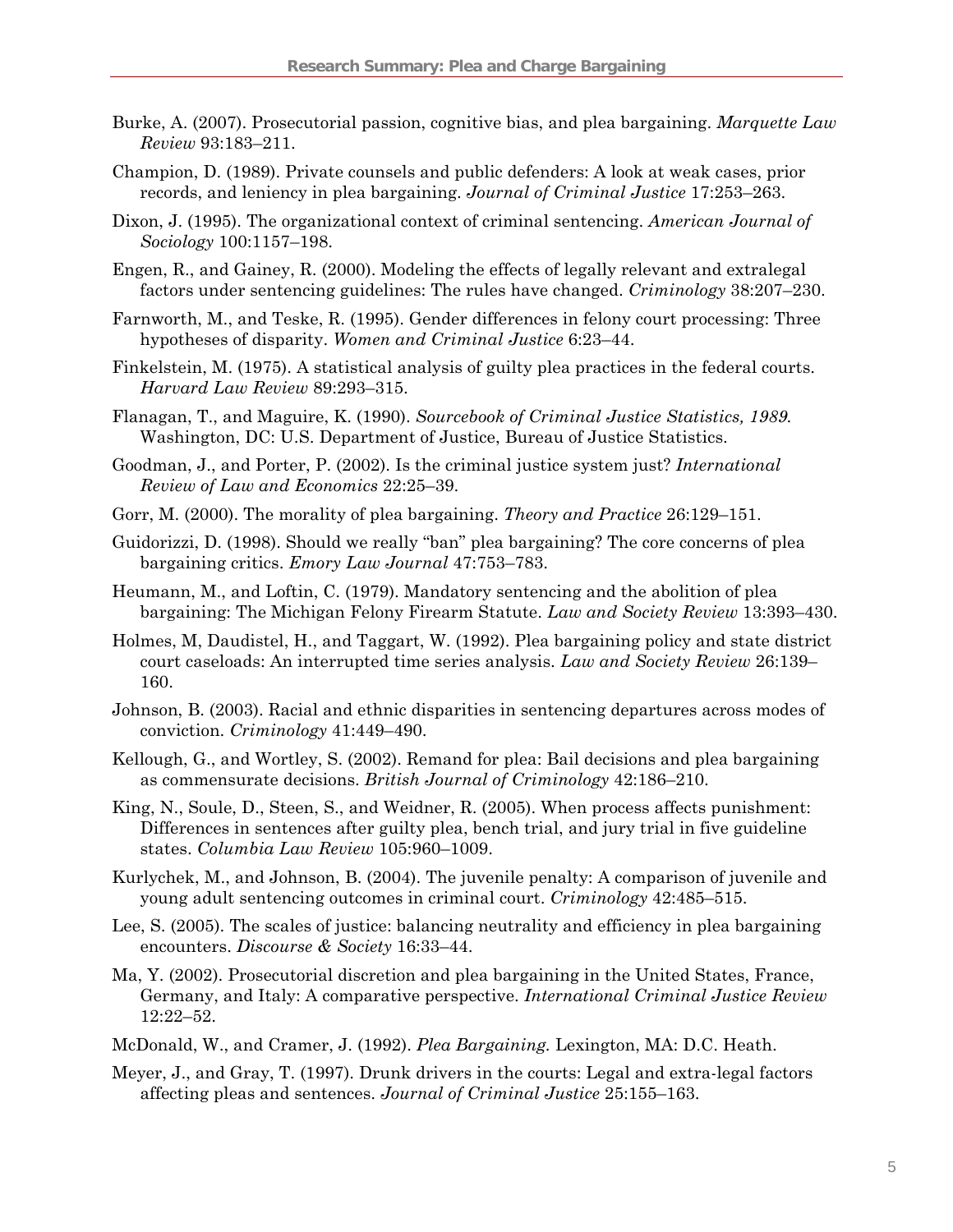- Burke, A. (2007). Prosecutorial passion, cognitive bias, and plea bargaining. *Marquette Law Review* 93:183–211.
- Champion, D. (1989). Private counsels and public defenders: A look at weak cases, prior records, and leniency in plea bargaining. *Journal of Criminal Justice* 17:253–263.
- Dixon, J. (1995). The organizational context of criminal sentencing. *American Journal of Sociology* 100:1157–198.
- Engen, R., and Gainey, R. (2000). Modeling the effects of legally relevant and extralegal factors under sentencing guidelines: The rules have changed. *Criminology* 38:207–230.
- Farnworth, M., and Teske, R. (1995). Gender differences in felony court processing: Three hypotheses of disparity. *Women and Criminal Justice* 6:23–44.
- Finkelstein, M. (1975). A statistical analysis of guilty plea practices in the federal courts. *Harvard Law Review* 89:293–315.
- Flanagan, T., and Maguire, K. (1990). *Sourcebook of Criminal Justice Statistics, 1989.* Washington, DC: U.S. Department of Justice, Bureau of Justice Statistics.
- Goodman, J., and Porter, P. (2002). Is the criminal justice system just? *International Review of Law and Economics* 22:25–39.
- Gorr, M. (2000). The morality of plea bargaining. *Theory and Practice* 26:129–151.
- Guidorizzi, D. (1998). Should we really "ban" plea bargaining? The core concerns of plea bargaining critics. *Emory Law Journal* 47:753–783.
- Heumann, M., and Loftin, C. (1979). Mandatory sentencing and the abolition of plea bargaining: The Michigan Felony Firearm Statute. *Law and Society Review* 13:393–430.
- Holmes, M, Daudistel, H., and Taggart, W. (1992). Plea bargaining policy and state district court caseloads: An interrupted time series analysis. *Law and Society Review* 26:139– 160.
- Johnson, B. (2003). Racial and ethnic disparities in sentencing departures across modes of conviction. *Criminology* 41:449–490.
- Kellough, G., and Wortley, S. (2002). Remand for plea: Bail decisions and plea bargaining as commensurate decisions. *British Journal of Criminology* 42:186–210.
- King, N., Soule, D., Steen, S., and Weidner, R. (2005). When process affects punishment: Differences in sentences after guilty plea, bench trial, and jury trial in five guideline states. *Columbia Law Review* 105:960–1009.
- Kurlychek, M., and Johnson, B. (2004). The juvenile penalty: A comparison of juvenile and young adult sentencing outcomes in criminal court. *Criminology* 42:485–515.
- Lee, S. (2005). The scales of justice: balancing neutrality and efficiency in plea bargaining encounters. *Discourse & Society* 16:33–44.
- Ma, Y. (2002). Prosecutorial discretion and plea bargaining in the United States, France, Germany, and Italy: A comparative perspective. *International Criminal Justice Review* 12:22–52.
- McDonald, W., and Cramer, J. (1992). *Plea Bargaining.* Lexington, MA: D.C. Heath.
- Meyer, J., and Gray, T. (1997). Drunk drivers in the courts: Legal and extra-legal factors affecting pleas and sentences. *Journal of Criminal Justice* 25:155–163.